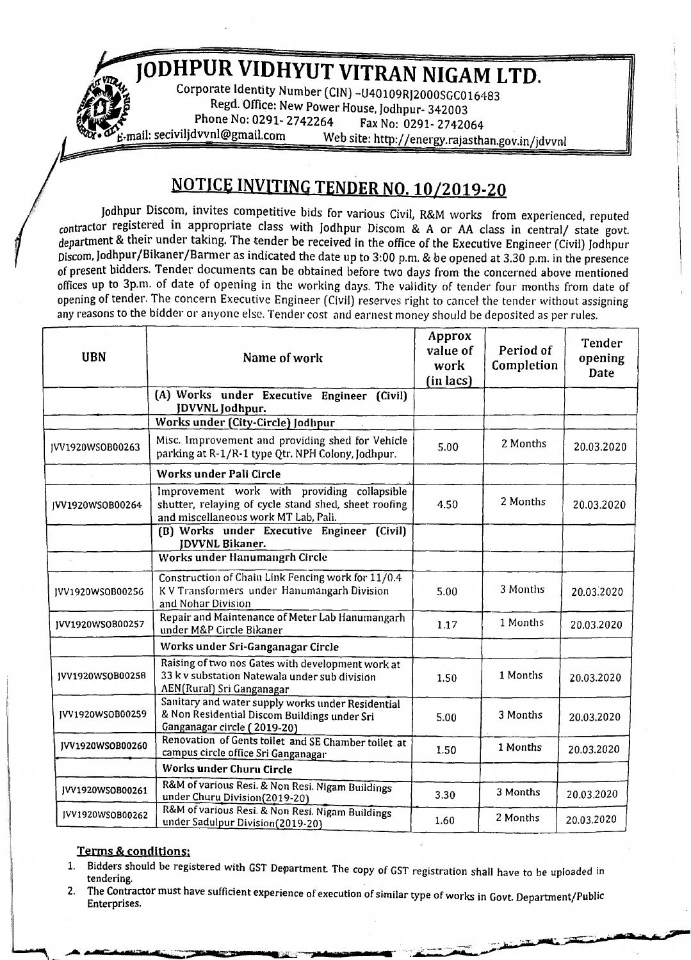*<sup>i</sup>* **JODHPUR VIDHYUT VITRAN NIGAM LTD.**

Regd. Office: New Power House, Jodhpur- 342003 **ls**<br>**Phone No: 0291- 2742264** Fax No: 0291- 2742064<br>**E-mail: secivilidvynl@gmail.com** Web site: http://energy.griactb Web site: http://energy.rajasthan.gov.in/jdvvnl

## **NOTICE INVITING TENDER NO. 10/2019-20**

Jodhpur Discom, invites competitive bids for *various* Civil, R&M works from experienced, reputed contractor registered in appropriate class with Jodhpur Discom & A or AA class in central/ state govt, department & their under taking. The tender be received in the office of the Executive Engineer (Civil) Jodhpur Discom, Jodhpur/Bikaner/Barmer as indicated the date up to 3:00 p.m. & be opened at 3.30 p.m. in the presence of present bidders. Tender documents can be obtained before two days from the concerned above mentioned offices up to 3p.m. of date of opening in the working days. The validity of tender four months from date of opening of tender. The concern Executive Engineer (Civil) reserves right to cancel the tender without assigning any reasons to the bidder or anyone else. Tender cost and earnest money should be deposited as per rules.

| <b>UBN</b>       | Name of work                                                                                                                                | Approx<br>value of<br>work<br>(in lacs) | Period of<br>Completion | <b>Tender</b><br>opening<br>Date |
|------------------|---------------------------------------------------------------------------------------------------------------------------------------------|-----------------------------------------|-------------------------|----------------------------------|
|                  | (A) Works under Executive Engineer (Civil)<br>JDVVNL Jodhpur.                                                                               |                                         |                         |                                  |
|                  | <b>Works under (City-Circle) Jodhpur</b>                                                                                                    |                                         |                         |                                  |
| JVV1920WSOB00263 | Misc. Improvement and providing shed for Vehicle<br>parking at R-1/R-1 type Qtr. NPH Colony, Jodhpur.                                       | 5.00                                    | 2 Months                | 20.03.2020                       |
|                  | Works under Pali Circle                                                                                                                     |                                         |                         |                                  |
| JVV1920WSOB00264 | Improvement work with providing collapsible<br>shutter, relaying of cycle stand shed, sheet roofing<br>and miscellaneous work MT Lab, Pali. | 4.50                                    | 2 Months                | 20.03.2020                       |
|                  | (B) Works under Executive Engineer (Civil)<br><b>IDVVNL Bikaner.</b>                                                                        |                                         |                         |                                  |
| $\bar{\psi}$     | Works under Hanumangrh Circle                                                                                                               |                                         |                         |                                  |
| JVV1920WSOB00256 | Construction of Chain Link Fencing work for 11/0.4<br>KV Transformers under Hanumangarh Division<br>and Nohar Division                      | 5.00                                    | 3 Months                | 20.03.2020                       |
| JVV1920WSOB00257 | Repair and Maintenance of Meter Lab Hanumangarh<br>under M&P Circle Bikaner                                                                 | 1.17                                    | 1 Months                | 20.03.2020                       |
|                  | Works under Sri-Ganganagar Circle                                                                                                           |                                         |                         |                                  |
| IVV1920WSOB00258 | Raising of two nos Gates with development work at<br>33 k v substation Natewala under sub division<br><b>AEN(Rural) Sri Ganganagar</b>      | 1.50                                    | 1 Months                | 20.03.2020                       |
| JVV1920WSOB00259 | Sanitary and water supply works under Residential<br>& Non Residential Discom Buildings under Sri<br>Ganganagar circle (2019-20)            | 5.00                                    | 3 Months                | 20.03.2020                       |
| JVV1920WSOB00260 | Renovation of Gents toilet and SE Chamber toilet at<br>campus circle office Sri Ganganagar                                                  | 1.50                                    | 1 Months                | 20.03.2020                       |
|                  | Works under Churu Circle                                                                                                                    |                                         |                         |                                  |
| JVV1920WSOB00261 | R&M of various Resi. & Non Resi. Nigam Buildings<br>under Churu Division(2019-20)                                                           | 3.30                                    | 3 Months                | 20.03.2020                       |
| JVV1920WSOB00262 | R&M of various Resi. & Non Resi. Nigam Buildings<br>under Sadulpur Division(2019-20)                                                        | 1.60                                    | 2 Months                | 20.03.2020                       |

## Terms & conditions:

**Cardinal** 

- 1. Bidders should be registered with GST Department The copy of GST registration shall have to be uploaded in  $-$  . The contract of the contract of the contract of the contract of the contract of the contract of the contract of the contract of the contract of the contract of the contract of the contract of the contract of the con
- 2. The Contractor must have sufficient experience of execution of similar type of works in Govt. Department/Public Enterprises.

**.=,..-**